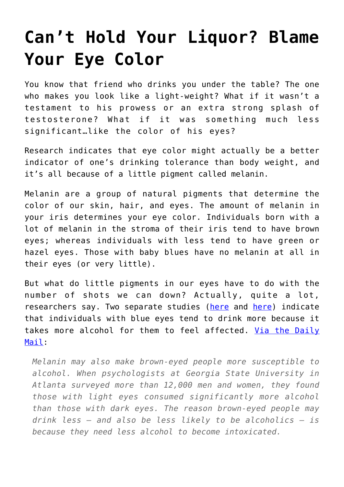## **[Can't Hold Your Liquor? Blame](https://intellectualtakeout.org/2016/10/cant-hold-your-liquor-blame-your-eye-color/) [Your Eye Color](https://intellectualtakeout.org/2016/10/cant-hold-your-liquor-blame-your-eye-color/)**

You know that friend who drinks you under the table? The one who makes you look like a light-weight? What if it wasn't a testament to his prowess or an extra strong splash of testosterone? What if it was something much less significant…like the color of his eyes?

Research indicates that eye color might actually be a better indicator of one's drinking tolerance than body weight, and it's all because of a little pigment called melanin.

Melanin are a group of natural pigments that determine the color of our skin, hair, and eyes. The amount of melanin in your iris determines your eye color. Individuals born with a lot of melanin in the stroma of their iris tend to have brown eyes; whereas individuals with less tend to have green or hazel eyes. Those with baby blues have no melanin at all in their eyes (or very little).

But what do little pigments in our eyes have to do with the number of shots we can down? Actually, quite a lot, researchers say. Two separate studies ([here](http://onlinelibrary.wiley.com/doi/10.1002/ajmg.b.32316/abstract) and [here\)](https://www.researchgate.net/publication/237928734_Eye_color_predicts_alcohol_use_in_two_archival_samples) indicate that individuals with blue eyes tend to drink more because it takes more alcohol for them to feel affected. [Via the Daily](http://www.dailymail.co.uk/health/article-2653300/Cant-hold-drink-cope-pain-Blame-colour-eyes.html) [Mail](http://www.dailymail.co.uk/health/article-2653300/Cant-hold-drink-cope-pain-Blame-colour-eyes.html):

*Melanin may also make brown-eyed people more susceptible to alcohol. When psychologists at Georgia State University in Atlanta surveyed more than 12,000 men and women, they found those with light eyes consumed significantly more alcohol than those with dark eyes. The reason brown-eyed people may drink less – and also be less likely to be alcoholics – is because they need less alcohol to become intoxicated.*